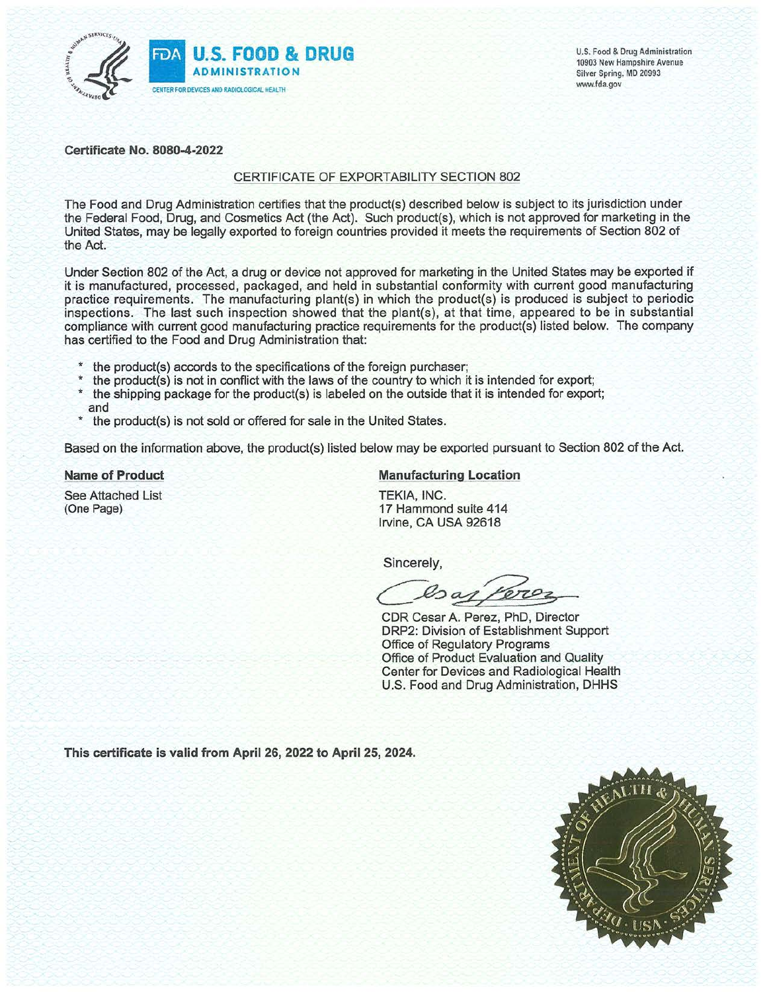

U.S. Food & Drug Administration 10903 New Hampshire Avenue Silver Spring, MD 20993 www.fda.gov

Certificate No. 8080-4-2022

### CERTIFICATE OF EXPORTABILITY SECTION 802

The Food and Drug Administration certifies that the product(s) described below is subject to its jurisdiction under the Federal Food, Drug, and Cosmetics Act (the Act). Such product(s), which is not approved for marketing in the United States, may be legally exported to foreign countries provided it meets the requirements of Section 802 of the Act.

Under Section 802 of the Act, a drug or device not approved for marketing in the United States may be exported if it is manufactured, processed, packaged, and held in substantial conformity with current good manufacturing practice requirements. The manufacturing plant(s) in which the product(s) is produced is subject to periodic inspections. The last such inspection showed that the plant(s), at that time, appeared to be in substantial compliance with current good manufacturing practice requirements for the product(s) listed below. The company has certified to the Food and Drug Administration that:

- the product(s) accords to the specifications of the foreign purchaser;
- the product(s) is not in conflict with the laws of the country to which it is intended for export;
- $\star$ the shipping package for the product(s) is labeled on the outside that it is intended for export; and
- the product(s) is not sold or offered for sale in the United States.

Based on the information above, the product(s) listed below may be exported pursuant to Section 802 of the Act.

## **Name of Product**

See Attached List (One Page)

# **Manufacturing Location**

TEKIA, INC. 17 Hammond suite 414 Irvine, CA USA 92618

Sincerely,

Coar Pero

CDR Cesar A. Perez, PhD, Director DRP2: Division of Establishment Support Office of Regulatory Programs Office of Product Evaluation and Quality Center for Devices and Radiological Health U.S. Food and Drug Administration, DHHS

This certificate is valid from April 26, 2022 to April 25, 2024.